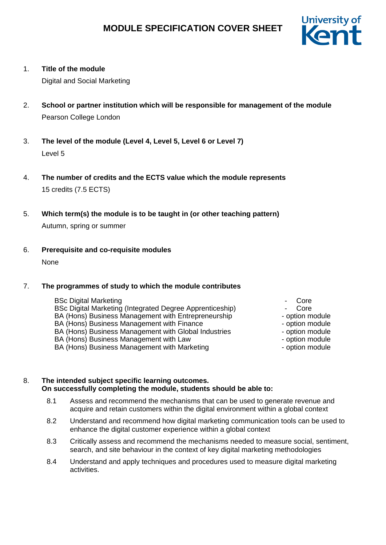

## 1. **Title of the module**

Digital and Social Marketing

- 2. **School or partner institution which will be responsible for management of the module** Pearson College London
- 3. **The level of the module (Level 4, Level 5, Level 6 or Level 7)** Level 5
- 4. **The number of credits and the ECTS value which the module represents** 15 credits (7.5 ECTS)
- 5. **Which term(s) the module is to be taught in (or other teaching pattern)** Autumn, spring or summer
- 6. **Prerequisite and co-requisite modules**

None

## 7. **The programmes of study to which the module contributes**

- BSc Digital Marketing BSc Digital Marketing (Integrated Degree Apprenticeship)  $\qquad \qquad \qquad \qquad \text{Core}$ BA (Hons) Business Management with Entrepreneurship BA (Hons) Business Management with Finance<br>BA (Hons) Business Management with Global Industries - option module BA (Hons) Business Management with Global Industries BA (Hons) Business Management with Law - Continued by the option module
- BA (Hons) Business Management with Marketing Fig. 2016 option module
- **Core**
- 
- option module
- option module
- 
- 
- 

## 8. **The intended subject specific learning outcomes. On successfully completing the module, students should be able to:**

- 8.1 Assess and recommend the mechanisms that can be used to generate revenue and acquire and retain customers within the digital environment within a global context
- 8.2 Understand and recommend how digital marketing communication tools can be used to enhance the digital customer experience within a global context
- 8.3 Critically assess and recommend the mechanisms needed to measure social, sentiment, search, and site behaviour in the context of key digital marketing methodologies
- 8.4 Understand and apply techniques and procedures used to measure digital marketing activities.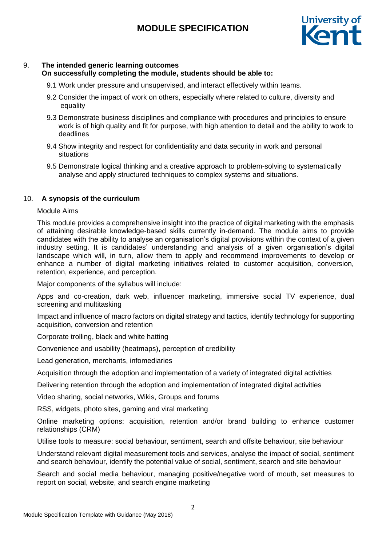

## 9. **The intended generic learning outcomes**

## **On successfully completing the module, students should be able to:**

- 9.1 Work under pressure and unsupervised, and interact effectively within teams.
- 9.2 Consider the impact of work on others, especially where related to culture, diversity and equality
- 9.3 Demonstrate business disciplines and compliance with procedures and principles to ensure work is of high quality and fit for purpose, with high attention to detail and the ability to work to deadlines
- 9.4 Show integrity and respect for confidentiality and data security in work and personal situations
- 9.5 Demonstrate logical thinking and a creative approach to problem-solving to systematically analyse and apply structured techniques to complex systems and situations.

## 10. **A synopsis of the curriculum**

#### Module Aims

This module provides a comprehensive insight into the practice of digital marketing with the emphasis of attaining desirable knowledge-based skills currently in-demand. The module aims to provide candidates with the ability to analyse an organisation's digital provisions within the context of a given industry setting. It is candidates' understanding and analysis of a given organisation's digital landscape which will, in turn, allow them to apply and recommend improvements to develop or enhance a number of digital marketing initiatives related to customer acquisition, conversion, retention, experience, and perception.

Major components of the syllabus will include:

Apps and co-creation, dark web, influencer marketing, immersive social TV experience, dual screening and multitasking

Impact and influence of macro factors on digital strategy and tactics, identify technology for supporting acquisition, conversion and retention

Corporate trolling, black and white hatting

Convenience and usability (heatmaps), perception of credibility

Lead generation, merchants, infomediaries

Acquisition through the adoption and implementation of a variety of integrated digital activities

Delivering retention through the adoption and implementation of integrated digital activities

Video sharing, social networks, Wikis, Groups and forums

RSS, widgets, photo sites, gaming and viral marketing

Online marketing options: acquisition, retention and/or brand building to enhance customer relationships (CRM)

Utilise tools to measure: social behaviour, sentiment, search and offsite behaviour, site behaviour

Understand relevant digital measurement tools and services, analyse the impact of social, sentiment and search behaviour, identify the potential value of social, sentiment, search and site behaviour

Search and social media behaviour, managing positive/negative word of mouth, set measures to report on social, website, and search engine marketing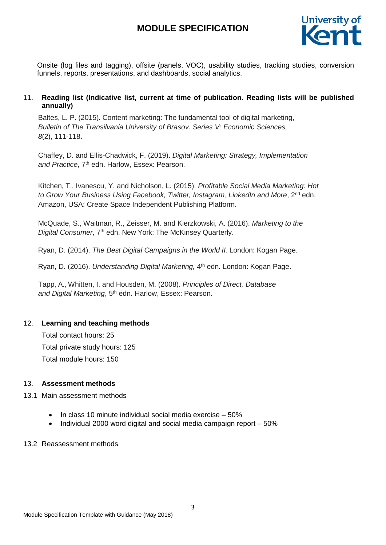

Onsite (log files and tagging), offsite (panels, VOC), usability studies, tracking studies, conversion funnels, reports, presentations, and dashboards, social analytics.

## 11. **Reading list (Indicative list, current at time of publication. Reading lists will be published annually)**

Baltes, L. P. (2015). Content marketing: The fundamental tool of digital marketing, *Bulletin of The Transilvania University of Brasov. Series V: Economic Sciences, 8*(2), 111-118.

Chaffey, D. and Ellis-Chadwick, F. (2019). *Digital Marketing: Strategy, Implementation* and Practice, 7<sup>th</sup> edn. Harlow, Essex: Pearson.

Kitchen, T., Ivanescu, Y. and Nicholson, L. (2015). *Profitable Social Media Marketing: Hot to Grow Your Business Using Facebook, Twitter, Instagram, LinkedIn and More*, 2nd edn. Amazon, USA: Create Space Independent Publishing Platform.

McQuade, S., Waitman, R., Zeisser, M. and Kierzkowski, A. (2016). *Marketing to the* Digital Consumer, 7<sup>th</sup> edn. New York: The McKinsey Quarterly.

Ryan, D. (2014). *The Best Digital Campaigns in the World II.* London: Kogan Page.

Ryan, D. (2016). *Understanding Digital Marketing,* 4 th edn*.* London: Kogan Page.

Tapp, A., Whitten, I. and Housden, M. (2008). *Principles of Direct, Database*  and *Digital Marketing*, 5<sup>th</sup> edn. Harlow, Essex: Pearson.

## 12. **Learning and teaching methods**

Total contact hours: 25 Total private study hours: 125 Total module hours: 150

## 13. **Assessment methods**

#### 13.1 Main assessment methods

- $\bullet$  In class 10 minute individual social media exercise 50%
- $\bullet$  Individual 2000 word digital and social media campaign report  $-50\%$

#### 13.2 Reassessment methods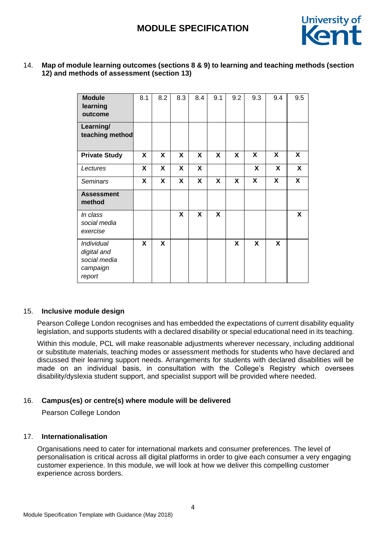

## 14. **Map of module learning outcomes (sections 8 & 9) to learning and teaching methods (section 12) and methods of assessment (section 13)**

| <b>Module</b><br>learning<br>outcome                            | 8.1 | 8.2 | 8.3 | 8.4 | 9.1 | 9.2 | 9.3                     | 9.4                     | 9.5                     |
|-----------------------------------------------------------------|-----|-----|-----|-----|-----|-----|-------------------------|-------------------------|-------------------------|
| Learning/<br>teaching method                                    |     |     |     |     |     |     |                         |                         |                         |
| <b>Private Study</b>                                            | X   | X   | X   | X   | X   | X   | X                       | X                       | X                       |
| Lectures                                                        | X   | X   | X   | X   |     |     | X                       | X                       | X                       |
| <b>Seminars</b>                                                 | X   | X   | X   | X   | X   | X   | $\overline{\mathbf{x}}$ | $\overline{\mathbf{X}}$ | $\overline{\mathbf{X}}$ |
| <b>Assessment</b><br>method                                     |     |     |     |     |     |     |                         |                         |                         |
| In class<br>social media<br>exercise                            |     |     | X   | X   | X   |     |                         |                         | X                       |
| Individual<br>digital and<br>social media<br>campaign<br>report | X   | X   |     |     |     | X   | X                       | X                       |                         |

#### 15. **Inclusive module design**

Pearson College London recognises and has embedded the expectations of current disability equality legislation, and supports students with a declared disability or special educational need in its teaching.

Within this module, PCL will make reasonable adjustments wherever necessary, including additional or substitute materials, teaching modes or assessment methods for students who have declared and discussed their learning support needs. Arrangements for students with declared disabilities will be made on an individual basis, in consultation with the College's Registry which oversees disability/dyslexia student support, and specialist support will be provided where needed.

## 16. **Campus(es) or centre(s) where module will be delivered**

Pearson College London

## 17. **Internationalisation**

Organisations need to cater for international markets and consumer preferences. The level of personalisation is critical across all digital platforms in order to give each consumer a very engaging customer experience. In this module, we will look at how we deliver this compelling customer experience across borders.